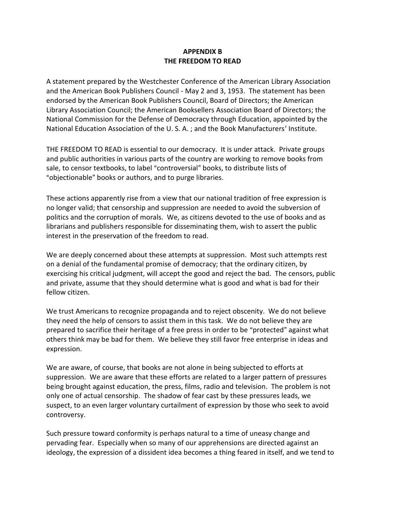## **APPENDIX B THE FREEDOM TO READ**

A statement prepared by the Westchester Conference of the American Library Association and the American Book Publishers Council - May 2 and 3, 1953. The statement has been endorsed by the American Book Publishers Council, Board of Directors; the American Library Association Council; the American Booksellers Association Board of Directors; the National Commission for the Defense of Democracy through Education, appointed by the National Education Association of the U.S.A.; and the Book Manufacturers' Institute.

THE FREEDOM TO READ is essential to our democracy. It is under attack. Private groups and public authorities in various parts of the country are working to remove books from sale, to censor textbooks, to label "controversial" books, to distribute lists of "objectionable" books or authors, and to purge libraries.

These actions apparently rise from a view that our national tradition of free expression is no longer valid; that censorship and suppression are needed to avoid the subversion of politics and the corruption of morals. We, as citizens devoted to the use of books and as librarians and publishers responsible for disseminating them, wish to assert the public interest in the preservation of the freedom to read.

We are deeply concerned about these attempts at suppression. Most such attempts rest on a denial of the fundamental promise of democracy; that the ordinary citizen, by exercising his critical judgment, will accept the good and reject the bad. The censors, public and private, assume that they should determine what is good and what is bad for their fellow citizen.

We trust Americans to recognize propaganda and to reject obscenity. We do not believe they need the help of censors to assist them in this task. We do not believe they are prepared to sacrifice their heritage of a free press in order to be "protected" against what others think may be bad for them. We believe they still favor free enterprise in ideas and expression.

We are aware, of course, that books are not alone in being subjected to efforts at suppression. We are aware that these efforts are related to a larger pattern of pressures being brought against education, the press, films, radio and television. The problem is not only one of actual censorship. The shadow of fear cast by these pressures leads, we suspect, to an even larger voluntary curtailment of expression by those who seek to avoid controversy.

Such pressure toward conformity is perhaps natural to a time of uneasy change and pervading fear. Especially when so many of our apprehensions are directed against an ideology, the expression of a dissident idea becomes a thing feared in itself, and we tend to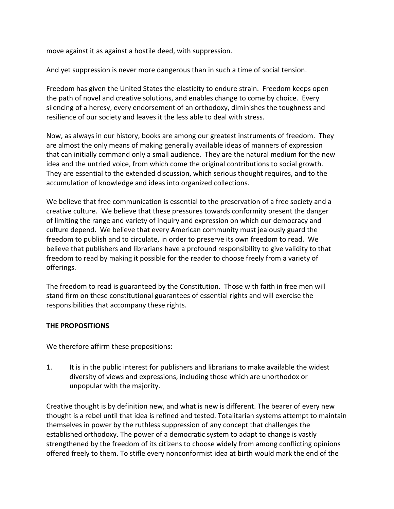move against it as against a hostile deed, with suppression.

And yet suppression is never more dangerous than in such a time of social tension.

Freedom has given the United States the elasticity to endure strain. Freedom keeps open the path of novel and creative solutions, and enables change to come by choice. Every silencing of a heresy, every endorsement of an orthodoxy, diminishes the toughness and resilience of our society and leaves it the less able to deal with stress.

Now, as always in our history, books are among our greatest instruments of freedom. They are almost the only means of making generally available ideas of manners of expression that can initially command only a small audience. They are the natural medium for the new idea and the untried voice, from which come the original contributions to social growth. They are essential to the extended discussion, which serious thought requires, and to the accumulation of knowledge and ideas into organized collections.

We believe that free communication is essential to the preservation of a free society and a creative culture. We believe that these pressures towards conformity present the danger of limiting the range and variety of inquiry and expression on which our democracy and culture depend. We believe that every American community must jealously guard the freedom to publish and to circulate, in order to preserve its own freedom to read. We believe that publishers and librarians have a profound responsibility to give validity to that freedom to read by making it possible for the reader to choose freely from a variety of offerings.

The freedom to read is guaranteed by the Constitution. Those with faith in free men will stand firm on these constitutional guarantees of essential rights and will exercise the responsibilities that accompany these rights.

## **THE PROPOSITIONS**

We therefore affirm these propositions:

1. It is in the public interest for publishers and librarians to make available the widest diversity of views and expressions, including those which are unorthodox or unpopular with the majority.

Creative thought is by definition new, and what is new is different. The bearer of every new thought is a rebel until that idea is refined and tested. Totalitarian systems attempt to maintain themselves in power by the ruthless suppression of any concept that challenges the established orthodoxy. The power of a democratic system to adapt to change is vastly strengthened by the freedom of its citizens to choose widely from among conflicting opinions offered freely to them. To stifle every nonconformist idea at birth would mark the end of the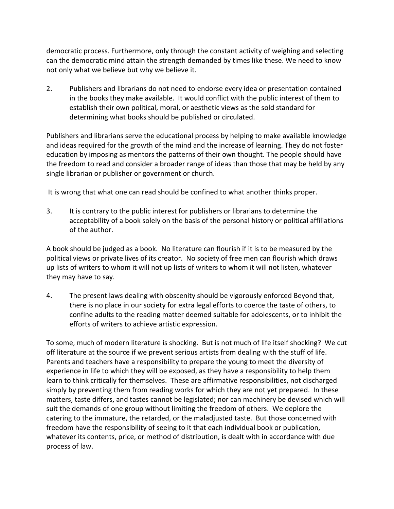democratic process. Furthermore, only through the constant activity of weighing and selecting can the democratic mind attain the strength demanded by times like these. We need to know not only what we believe but why we believe it.

2. Publishers and librarians do not need to endorse every idea or presentation contained in the books they make available. It would conflict with the public interest of them to establish their own political, moral, or aesthetic views as the sold standard for determining what books should be published or circulated.

Publishers and librarians serve the educational process by helping to make available knowledge and ideas required for the growth of the mind and the increase of learning. They do not foster education by imposing as mentors the patterns of their own thought. The people should have the freedom to read and consider a broader range of ideas than those that may be held by any single librarian or publisher or government or church.

It is wrong that what one can read should be confined to what another thinks proper.

3. It is contrary to the public interest for publishers or librarians to determine the acceptability of a book solely on the basis of the personal history or political affiliations of the author.

A book should be judged as a book. No literature can flourish if it is to be measured by the political views or private lives of its creator. No society of free men can flourish which draws up lists of writers to whom it will not up lists of writers to whom it will not listen, whatever they may have to say.

4. The present laws dealing with obscenity should be vigorously enforced Beyond that, there is no place in our society for extra legal efforts to coerce the taste of others, to confine adults to the reading matter deemed suitable for adolescents, or to inhibit the efforts of writers to achieve artistic expression.

To some, much of modern literature is shocking. But is not much of life itself shocking? We cut off literature at the source if we prevent serious artists from dealing with the stuff of life. Parents and teachers have a responsibility to prepare the young to meet the diversity of experience in life to which they will be exposed, as they have a responsibility to help them learn to think critically for themselves. These are affirmative responsibilities, not discharged simply by preventing them from reading works for which they are not yet prepared. In these matters, taste differs, and tastes cannot be legislated; nor can machinery be devised which will suit the demands of one group without limiting the freedom of others. We deplore the catering to the immature, the retarded, or the maladjusted taste. But those concerned with freedom have the responsibility of seeing to it that each individual book or publication, whatever its contents, price, or method of distribution, is dealt with in accordance with due process of law.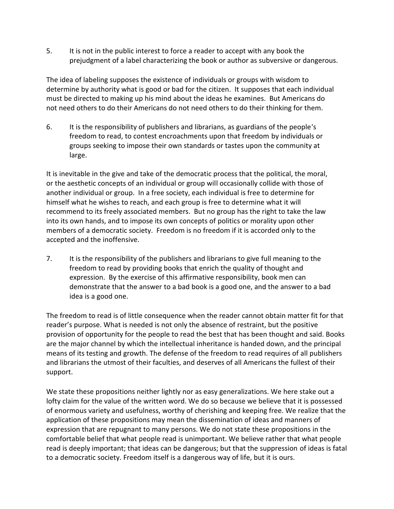5. It is not in the public interest to force a reader to accept with any book the prejudgment of a label characterizing the book or author as subversive or dangerous.

The idea of labeling supposes the existence of individuals or groups with wisdom to determine by authority what is good or bad for the citizen. It supposes that each individual must be directed to making up his mind about the ideas he examines. But Americans do not need others to do their Americans do not need others to do their thinking for them.

6. It is the responsibility of publishers and librarians, as guardians of the people's freedom to read, to contest encroachments upon that freedom by individuals or groups seeking to impose their own standards or tastes upon the community at large.

It is inevitable in the give and take of the democratic process that the political, the moral, or the aesthetic concepts of an individual or group will occasionally collide with those of another individual or group. In a free society, each individual is free to determine for himself what he wishes to reach, and each group is free to determine what it will recommend to its freely associated members. But no group has the right to take the law into its own hands, and to impose its own concepts of politics or morality upon other members of a democratic society. Freedom is no freedom if it is accorded only to the accepted and the inoffensive.

7. It is the responsibility of the publishers and librarians to give full meaning to the freedom to read by providing books that enrich the quality of thought and expression. By the exercise of this affirmative responsibility, book men can demonstrate that the answer to a bad book is a good one, and the answer to a bad idea is a good one.

The freedom to read is of little consequence when the reader cannot obtain matter fit for that reader's purpose. What is needed is not only the absence of restraint, but the positive provision of opportunity for the people to read the best that has been thought and said. Books are the major channel by which the intellectual inheritance is handed down, and the principal means of its testing and growth. The defense of the freedom to read requires of all publishers and librarians the utmost of their faculties, and deserves of all Americans the fullest of their support.

We state these propositions neither lightly nor as easy generalizations. We here stake out a lofty claim for the value of the written word. We do so because we believe that it is possessed of enormous variety and usefulness, worthy of cherishing and keeping free. We realize that the application of these propositions may mean the dissemination of ideas and manners of expression that are repugnant to many persons. We do not state these propositions in the comfortable belief that what people read is unimportant. We believe rather that what people read is deeply important; that ideas can be dangerous; but that the suppression of ideas is fatal to a democratic society. Freedom itself is a dangerous way of life, but it is ours.